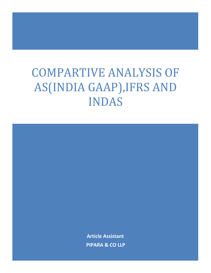## COMPARTIVE ANALYSIS OF AS(INDIA GAAP),IFRS AND INDAS

**Article Assistant PIPARA & CO LLP**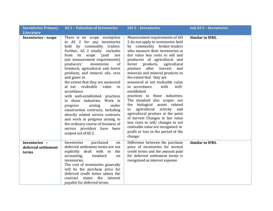| <b>Inventories Primary</b><br><b>Literature</b> | <b>AS2 - Valuation of Inventories</b>                                                                                                                                                                                                                                                                                                                                                                                                                                                                                                                                                                                                                                                                                          | <b>IAS 2 - Inventories</b>                                                                                                                                                                                                                                                                                                                                                                                                                                                                                                                                                                                                                                                                                                                                                                             | <b>Ind AS 2 - Inventories</b> |
|-------------------------------------------------|--------------------------------------------------------------------------------------------------------------------------------------------------------------------------------------------------------------------------------------------------------------------------------------------------------------------------------------------------------------------------------------------------------------------------------------------------------------------------------------------------------------------------------------------------------------------------------------------------------------------------------------------------------------------------------------------------------------------------------|--------------------------------------------------------------------------------------------------------------------------------------------------------------------------------------------------------------------------------------------------------------------------------------------------------------------------------------------------------------------------------------------------------------------------------------------------------------------------------------------------------------------------------------------------------------------------------------------------------------------------------------------------------------------------------------------------------------------------------------------------------------------------------------------------------|-------------------------------|
| <b>Inventories - scope</b>                      | There is no scope exemption<br>in AS 2 for any inventories<br>held by commodity traders.<br>Further, AS 2 totally excludes<br>from its scope<br>(and<br>not<br>just measurement requirements)<br>producers'<br>inventories<br>of<br>livestock, agricultural and forest<br>products, and mineral oils, ores<br>and gases to<br>the extent that they are measured<br>at net realisable<br>value<br>in<br>accordance<br>with well-established practices<br>in those industries. Work in<br>under<br>arising<br>progress<br>construction contracts, including<br>directly related service contracts<br>and work in progress arising in<br>the ordinary course of business of<br>service providers have been<br>scoped out of AS 2. | Measurement requirements of IAS<br>2 do not apply to inventories held<br>by commodity broker-traders<br>who measure their inventories at<br>fair value less costs to sell and<br>producers of agricultural and<br>forest<br>products,<br>agricultural<br>after<br>produce<br>harvest<br>and<br>minerals and mineral products to<br>the extent that they are<br>measured at net realisable value<br>in accordance<br>with<br>well-<br>established<br>practices in those industries.<br>The standard also scopes out<br>biological assets related<br>the<br>agricultural<br>activity<br>and<br>to<br>agricultural produce at the point<br>of harvest Changes in fair value<br>less costs to sell/ changes in net<br>realisable value are recognised in<br>profit or loss in the period of the<br>change. | <b>Similar to IFRS.</b>       |
| Inventories -<br>deferred settlement<br>terms   | purchased<br>Inventories<br><sub>on</sub><br>deferred settlement terms are not<br>explicitly dealt with in<br>the<br>standard<br>accounting<br>on<br>inventories.<br>The cost of inventories generally<br>will be the purchase price for<br>deferred credit terms unless the<br>contract<br>states the interest<br>payable for deferred terms.                                                                                                                                                                                                                                                                                                                                                                                 | Difference between the purchase<br>price of inventories for normal<br>credit terms and the amount paid<br>for deferred settlement terms is<br>recognised as interest expense.                                                                                                                                                                                                                                                                                                                                                                                                                                                                                                                                                                                                                          | <b>Similar to IFRS.</b>       |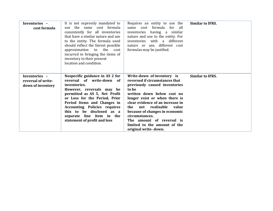| Inventories -<br>cost formula                            | It is not expressly mandated to<br>use the same cost formula<br>consistently for all inventories<br>that have a similar nature and use<br>to the entity. The formula used<br>should reflect the fairest possible<br>approximation to the<br>cost<br>incurred in bringing the items of<br>inventory to their present<br>location and condition. | Requires an entity to use the<br>same cost formula<br>for<br>all<br>having a similar<br>inventories<br>nature and use to the entity. For<br>inventories with a different<br>nature or use, different cost<br>formulas may be justified.                                                                                                                                              | <b>Similar to IFRS.</b> |
|----------------------------------------------------------|------------------------------------------------------------------------------------------------------------------------------------------------------------------------------------------------------------------------------------------------------------------------------------------------------------------------------------------------|--------------------------------------------------------------------------------------------------------------------------------------------------------------------------------------------------------------------------------------------------------------------------------------------------------------------------------------------------------------------------------------|-------------------------|
| Inventories -<br>reversal of write-<br>down of inventory | Nospecific guidance in AS 2 for<br>reversal of write-down of<br>inventories.<br>However, reversals may be<br>permitted as AS 5, Net Profit<br>or Loss for the Period, Prior<br>Period Items and Changes in<br><b>Accounting Policies requires</b><br>this to be disclosed as a<br>separate line item in the<br>statement of profit and loss    | Write-down of inventory is<br>reversed if circumstances that<br>previously caused inventories<br>to be<br>written down below cost no<br>longer exist or when there is<br>clear evidence of an increase in<br>net realisable<br>the<br>value<br>because of changes in economic<br>circumstances.<br>The amount of reversal is<br>limited to the amount of the<br>original write-down. | <b>Similar to IFRS.</b> |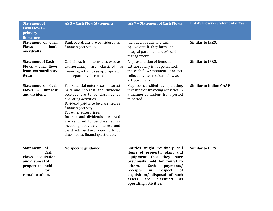| <b>Statement of</b><br><b>Cash Flows -</b><br>primary<br>literature                                                 | <b>AS 3 - Cash Flow Statements</b>                                                                                                                                                                                                                                                                                                                                                                                   | <b>IAS 7 - Statement of Cash Flows</b>                                                                                                                                                                                                                                                              | <b>Ind AS Flows7-Statement of Cash</b> |
|---------------------------------------------------------------------------------------------------------------------|----------------------------------------------------------------------------------------------------------------------------------------------------------------------------------------------------------------------------------------------------------------------------------------------------------------------------------------------------------------------------------------------------------------------|-----------------------------------------------------------------------------------------------------------------------------------------------------------------------------------------------------------------------------------------------------------------------------------------------------|----------------------------------------|
| <b>Statement of Cash</b><br><b>Flows</b><br>bank<br>overdrafts                                                      | Bank overdrafts are considered as<br>financing activities.                                                                                                                                                                                                                                                                                                                                                           | Included as cash and cash<br>equivalents if they form an<br>integral part of an entity's cash<br>management.                                                                                                                                                                                        | <b>Similar to IFRS.</b>                |
| <b>Statement of Cash</b>                                                                                            | Cash flows from items disclosed as                                                                                                                                                                                                                                                                                                                                                                                   | As presentation of items as                                                                                                                                                                                                                                                                         | <b>Similar to IFRS.</b>                |
| Flows - cash flows<br>from extraordinary<br>items                                                                   | extraordinary are classified<br>as<br>financing activities as appropriate,<br>and separately disclosed.                                                                                                                                                                                                                                                                                                              | extraordinary is not permitted,<br>the cash flow statement doesnot<br>reflect any items of cash flow as<br>extraordinary.                                                                                                                                                                           |                                        |
| <b>Statement of Cash</b><br>Flows - interest<br>and dividend                                                        | For Financial enterprises: Interest<br>paid and interest and dividend<br>received are to be classified as<br>operating activities.<br>Dividend paid is to be classified as<br>financing activity.<br>For other enterprises:<br>Interest and dividends received<br>are required to be classified as<br>investing activities. Interest and<br>dividends paid are required to be<br>classified as financing activities. | May be classified as operating,<br>investing or financing activities in<br>a manner consistent from period<br>to period.                                                                                                                                                                            | <b>Similar to Indian GAAP</b>          |
| Statement of<br>Cash<br><b>Flows - acquisition</b><br>and disposal of<br>properties held<br>for<br>rental to others | No specific guidance.                                                                                                                                                                                                                                                                                                                                                                                                | Entities might routinely sell<br>items of property, plant and<br>equipment that they have<br>previously held for rental to<br>Cash<br>others.<br>payments/<br>in<br>receipts<br>respect<br>of<br>acquisition/ disposal of such<br>classified<br>assets<br>are<br><b>as</b><br>operating activities. | <b>Similar to IFRS.</b>                |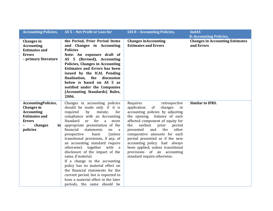| <b>Accounting Policies,</b>                                                                                                                           | AS 5 - Net Profit or Loss for                                                                                                                                                                                                                                                                                                                                                                                                                                                                                                                                                                                                                                                             | <b>IAS 8 - Accounting Policies,</b>                                                                                                                                                                                                                                                                                                                                                                                                                   | <b>IndAS</b>                                         |
|-------------------------------------------------------------------------------------------------------------------------------------------------------|-------------------------------------------------------------------------------------------------------------------------------------------------------------------------------------------------------------------------------------------------------------------------------------------------------------------------------------------------------------------------------------------------------------------------------------------------------------------------------------------------------------------------------------------------------------------------------------------------------------------------------------------------------------------------------------------|-------------------------------------------------------------------------------------------------------------------------------------------------------------------------------------------------------------------------------------------------------------------------------------------------------------------------------------------------------------------------------------------------------------------------------------------------------|------------------------------------------------------|
|                                                                                                                                                       |                                                                                                                                                                                                                                                                                                                                                                                                                                                                                                                                                                                                                                                                                           |                                                                                                                                                                                                                                                                                                                                                                                                                                                       | <b>8-Accounting Policies,</b>                        |
| <b>Changes</b> in<br><b>Accounting</b><br><b>Estimates and</b><br><b>Errors</b><br>- primary literature                                               | the Period, Prior Period Items<br>and Changes in Accounting<br><b>Policies</b><br>Note: An exposure draft of<br>(Revised), Accounting<br>$AS$ 5<br><b>Policies, Changes in Accounting</b><br><b>Estimates and Errors has been</b><br>issued by the ICAI. Pending<br>finalisation, the<br>discussion<br>below is based on AS 5 as<br>notified under the Companies<br>(Accounting Standards) Rules,<br>2006.                                                                                                                                                                                                                                                                                | <b>Changes in Accounting</b><br><b>Estimates and Errors</b>                                                                                                                                                                                                                                                                                                                                                                                           | <b>Changes in Accounting Estimates</b><br>and Errors |
| <b>AccountingPolicies,</b><br><b>Changes</b> in<br><b>Accounting</b><br><b>Estimates and</b><br><b>Errors</b><br>changes<br>$\mathbf{in}$<br>policies | Changes in accounting policies<br>should be made only if it is<br>required<br>by<br>statute,<br>for<br>compliance with an Accounting<br>Standard<br><sub>or</sub><br>for<br>a<br>more<br>appropriate presentation of the<br>financial<br>statements<br>on<br>a<br>(unless<br>basis<br>prospective<br>transitional provisions, if any, of<br>an accounting standard require<br>together with a<br>otherwise)<br>disclosure of the impact of the<br>same, if material.<br>If a change in the accounting<br>policy has no material effect on<br>the financial statements for the<br>current period, but is expected to<br>have a material effect in the later<br>periods, the same should be | Requires<br>retrospective<br>application<br>changes<br>of<br>in<br>accounting policies by adjusting<br>the opening balance of each<br>affected component of equity for<br>earliest<br>the<br>prior<br>period<br>and<br>the<br>presented<br>other<br>comparative amounts for each<br>period presented as if the new<br>accounting policy had always<br>been applied, unless transitional<br>provisions of an accounting<br>standard require otherwise. | <b>Similar to IFRS.</b>                              |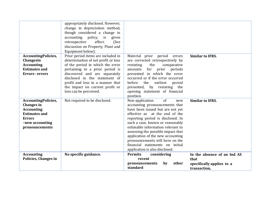|                                                                                                                                                    | appropriately disclosed. However,<br>change in depreciation method,<br>though considered a change in<br>policy,<br>accounting<br>is<br>given<br>effect.<br>retrospective<br>(See<br>discussion on Property, Plant and<br>Equipment below).                                                                          |                                                                                                                                                                                                                                                                                                                                                                                                                                       |                                                                                  |
|----------------------------------------------------------------------------------------------------------------------------------------------------|---------------------------------------------------------------------------------------------------------------------------------------------------------------------------------------------------------------------------------------------------------------------------------------------------------------------|---------------------------------------------------------------------------------------------------------------------------------------------------------------------------------------------------------------------------------------------------------------------------------------------------------------------------------------------------------------------------------------------------------------------------------------|----------------------------------------------------------------------------------|
| <b>AccountingPolicies,</b><br>Changesin<br><b>Accounting</b><br><b>Estimates and</b><br><b>Errors-errors</b>                                       | Prior period items are included in<br>determination of net profit or loss<br>of the period in which the error<br>pertaining to a prior period is<br>discovered and are separately<br>disclosed in the statement of<br>profit and loss in a manner that<br>the impact on current profit or<br>loss can be perceived. | Material prior period errors<br>are corrected retrospectively by<br>the<br>restating<br>comparative<br>for prior<br>periods<br>amounts<br>presented in which the error<br>occurred or if the error occurred<br>before<br>the<br>earliest<br>period<br>presented, by restating the<br>opening statement of financial<br>position.                                                                                                      | <b>Similar to IFRS.</b>                                                          |
| <b>AccountingPolicies,</b><br><b>Changes</b> in<br><b>Accounting</b><br><b>Estimates and</b><br><b>Errors</b><br>-new accounting<br>pronouncements | Not required to be disclosed.                                                                                                                                                                                                                                                                                       | Non-application<br>of<br>new<br>accounting pronouncements that<br>have been issued but are not yet<br>effective as at the end of the<br>reporting period is disclosed. In<br>such a case, known or reasonably<br>estimable information relevant to<br>assessing the possible impact that<br>application of the new accounting<br>pronouncements will have on the<br>financial statements on initial<br>application is also disclosed. | <b>Similar to IFRS.</b>                                                          |
| <b>Accounting</b><br>Policies, Changes in                                                                                                          | No specific guidance.                                                                                                                                                                                                                                                                                               | <b>Permits</b><br>considering<br>recent<br>pronouncements<br>by<br>other<br>standard                                                                                                                                                                                                                                                                                                                                                  | In the absence of an Ind AS<br>that<br>specifically applies to a<br>transaction, |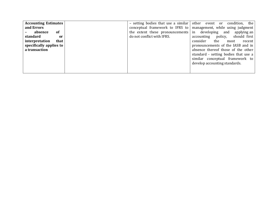| <b>Accounting Estimates</b> | - setting bodies that use a similar   other event or | the<br>condition,                                                  |
|-----------------------------|------------------------------------------------------|--------------------------------------------------------------------|
| and Errors                  |                                                      | conceptual framework to IFRS to   management, while using judgment |
| absence<br>of               |                                                      | the extent these pronouncements in developing and applying an      |
| standard<br><sub>or</sub>   | do not conflict with IFRS.                           | policy,<br>should first<br>accounting                              |
| interpretation<br>that      |                                                      | consider<br>the<br>recent l<br>most                                |
| specifically applies to     |                                                      | pronouncements of the IASB and in                                  |
| a transaction               |                                                      | absence thereof those of the other                                 |
|                             |                                                      | standard - setting bodies that use a                               |
|                             |                                                      | similar conceptual framework to                                    |
|                             |                                                      | develop accounting standards.                                      |
|                             |                                                      |                                                                    |
|                             |                                                      |                                                                    |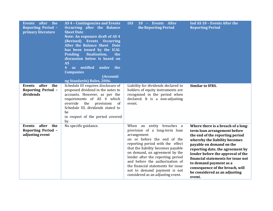| after<br>the<br><b>Events</b><br><b>Reporting Period -</b><br>primary literature | AS 4 - Contingencies and Events<br><b>Occurring after the Balance</b><br><b>Sheet Date</b><br>Note: An exposure draft of AS 4<br>(Revised) Events Occurring<br>After the Balance Sheet Date<br>has been issued by the ICAI.<br>finalisation,<br><b>Pending</b><br>the<br>discussion below is based on<br><b>AS</b><br>notified<br>under<br>the<br>4<br><b>as</b><br><b>Companies</b><br>(Accounti<br>ng Standards) Rules, 2006. | <b>IAS</b><br>- Events After<br><b>10</b><br>the Reporting Period                                                                                                                                                                                                                                                                                                                                       | Ind AS 10 - Events After the<br><b>Reporting Period</b>                                                                                                                                                                                                                                                                                                                                   |
|----------------------------------------------------------------------------------|---------------------------------------------------------------------------------------------------------------------------------------------------------------------------------------------------------------------------------------------------------------------------------------------------------------------------------------------------------------------------------------------------------------------------------|---------------------------------------------------------------------------------------------------------------------------------------------------------------------------------------------------------------------------------------------------------------------------------------------------------------------------------------------------------------------------------------------------------|-------------------------------------------------------------------------------------------------------------------------------------------------------------------------------------------------------------------------------------------------------------------------------------------------------------------------------------------------------------------------------------------|
| after<br>the<br><b>Events</b><br><b>Reporting Period -</b><br>dividends          | Schedule III requires disclosure of<br>proposed dividend in the notes to<br>accounts. However, as per the<br>requirements of AS 4 which<br>override<br>the provisions<br>of<br>Schedule III, dividends stated to<br>be<br>in respect of the period covered<br>by                                                                                                                                                                | Liability for dividends declared to<br>holders of equity instruments are<br>recognised in the period when<br>declared. It is a non-adjusting<br>event.                                                                                                                                                                                                                                                  | <b>Similar to IFRS.</b>                                                                                                                                                                                                                                                                                                                                                                   |
| after<br>the<br>Events<br><b>Reporting Period -</b><br>adjusting event           | No specific guidance.                                                                                                                                                                                                                                                                                                                                                                                                           | When an entity breaches a<br>provision of a long-term loan<br>arrangement<br>on or before the end of the<br>reporting period with the effect<br>that the liability becomes payable<br>on demand, an agreement by the<br>lender after the reporting period<br>and before the authorisation of<br>the financial statements for issue<br>not to demand payment is not<br>considered as an adjusting event. | Where there is a breach of a long-<br>term loan arrangement before<br>the end of the reporting period<br>whereby the liability becomes<br>payable on demand on the<br>reporting date, the agreement by<br>lender before the approval of the<br>financial statements for issue not<br>to demand payment as a<br>consequence of the breach, will<br>be considered as an adjusting<br>event. |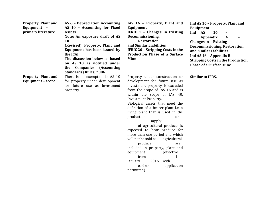| <b>Property, Plant and</b><br>Equipment -<br>primary literature | <b>AS 6 - Depreciation Accounting</b><br>AS 10 - Accounting for Fixed<br><b>Assets</b><br>Note: An exposure draft of AS<br>10<br>(Revised), Property, Plant and<br>Equipment has been issued by<br>the ICAI.<br>The discussion below is based<br>on AS 10 as notified under<br><b>Companies (Accounting</b><br>the<br>Standards) Rules, 2006. | IAS 16 - Property, Plant and<br>Equipment<br>IFRIC 1 - Changes in Existing<br>Decommissioning,<br><b>Restoration</b><br>and Similar Liabilities<br><b>IFRIC 20 - Stripping Costs in the</b><br><b>Production Phase of a Surface</b><br><b>Mine</b>                                                                                                                                                                                                                                                                                                                                                                     | Ind AS 16 - Property, Plant and<br>Equipment<br>Ind AS<br><b>16</b><br><b>Appendix</b><br>$\mathbf{A}$<br><b>Changes in</b> Existing<br><b>Decommissioning, Restoration</b><br>and Similar Liabilities<br>Ind AS 16 - Appendix B -<br><b>Stripping Costs in the Production</b><br><b>Phase of a Surface Mine</b> |
|-----------------------------------------------------------------|-----------------------------------------------------------------------------------------------------------------------------------------------------------------------------------------------------------------------------------------------------------------------------------------------------------------------------------------------|------------------------------------------------------------------------------------------------------------------------------------------------------------------------------------------------------------------------------------------------------------------------------------------------------------------------------------------------------------------------------------------------------------------------------------------------------------------------------------------------------------------------------------------------------------------------------------------------------------------------|------------------------------------------------------------------------------------------------------------------------------------------------------------------------------------------------------------------------------------------------------------------------------------------------------------------|
| <b>Property, Plant and</b>                                      | There is no exemption in AS 10                                                                                                                                                                                                                                                                                                                | Property under construction or                                                                                                                                                                                                                                                                                                                                                                                                                                                                                                                                                                                         | <b>Similar to IFRS.</b>                                                                                                                                                                                                                                                                                          |
| Equipment - scope                                               | for property under development<br>for future use as investment<br>property.                                                                                                                                                                                                                                                                   | development for future use as<br>investment property is excluded<br>from the scope of IAS 16 and is<br>within the scope of IAS 40,<br><b>Investment Property.</b><br>Biological assets that meet the<br>definition of a bearer plant i.e. a<br>living plant that is used in the<br>production<br>or<br>supply<br>of agricultural produce, is<br>expected to bear produce for<br>more than one period and which<br>will not be sold as<br>agricultural<br>produce<br>are<br>included in property, plant and<br>equipment<br>(effective<br>from<br>1<br>with<br>2016<br>January<br>earlier<br>application<br>permitted). |                                                                                                                                                                                                                                                                                                                  |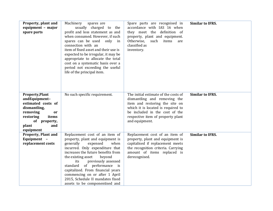| Property, plant and<br>equipment - major<br>spare parts                                                                                                                   | Machinery<br>spares are<br>usually charged to the<br>profit and loss statement as and<br>when consumed. However, if such<br>spares can be used<br>only in<br>connection with an<br>item of fixed asset and their use is<br>expected to be irregular, it may be<br>appropriate to allocate the total<br>cost on a systematic basis over a<br>period not exceeding the useful<br>life of the principal item.                              | Spare parts are recognised in<br>accordance with IAS 16 when<br>they meet the definition of<br>property, plant and equipment.<br>Otherwise,<br>such<br>items<br>are<br>classified as<br>inventory.                                    | <b>Similar to IFRS.</b> |
|---------------------------------------------------------------------------------------------------------------------------------------------------------------------------|-----------------------------------------------------------------------------------------------------------------------------------------------------------------------------------------------------------------------------------------------------------------------------------------------------------------------------------------------------------------------------------------------------------------------------------------|---------------------------------------------------------------------------------------------------------------------------------------------------------------------------------------------------------------------------------------|-------------------------|
| <b>Property, Plant</b><br>andEquipment-<br>estimated costs of<br>dismantling,<br>removing<br><b>or</b><br>restoring<br>items<br>of property,<br>and<br>plant<br>equipment | No such specific requirement.                                                                                                                                                                                                                                                                                                                                                                                                           | The initial estimate of the costs of<br>dismantling and removing the<br>item and restoring the site on<br>which it is located is required to<br>be included in the cost of the<br>respective item of property plant<br>and equipment. | <b>Similar to IFRS.</b> |
| <b>Property, Plant and</b><br>Equipment -<br>replacement costs                                                                                                            | Replacement cost of an item of<br>property, plant and equipment is<br>generally<br>expensed<br>when<br>incurred. Only expenditure that<br>increases the future benefits from<br>beyond<br>the existing asset<br>previously assessed<br>its<br>standard<br>of performance<br>i <sub>S</sub><br>capitalized. From financial years<br>commencing on or after 1 April<br>2015, Schedule II mandates fixed<br>assets to be componentised and | Replacement cost of an item of<br>property, plant and equipment is<br>capitalised if replacement meets<br>the recognition criteria. Carrying<br>amount of items replaced is<br>derecognised.                                          | <b>Similar to IFRS.</b> |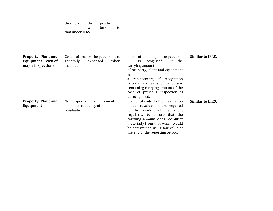|                                                                        | therefore,<br>the<br>position<br>be similar to<br>will<br>that under IFRS.   |                                                                                                                                                                                                                                                                                           |                         |
|------------------------------------------------------------------------|------------------------------------------------------------------------------|-------------------------------------------------------------------------------------------------------------------------------------------------------------------------------------------------------------------------------------------------------------------------------------------|-------------------------|
| <b>Property, Plant and</b><br>Equipment - cost of<br>major inspections | Costs of major inspections are<br>when<br>generally<br>expensed<br>incurred. | Cost of<br>major inspections<br>recognised<br>in the<br>is.<br>carrying amount<br>of property, plant and equipment<br>as<br>a replacement, if recognition<br>criteria are satisfied and any<br>remaining carrying amount of the<br>cost of previous inspection is<br>derecognised.        | <b>Similar to IFRS.</b> |
| <b>Property, Plant and</b><br>Equipment                                | specific<br>No<br>requirement<br>on frequency of<br>revaluation.             | If an entity adopts the revaluation<br>model, revaluations are required<br>be made with sufficient<br>to<br>regularity to ensure that the<br>carrying amount does not differ<br>materially from that which would<br>be determined using fair value at<br>the end of the reporting period. | <b>Similar to IFRS.</b> |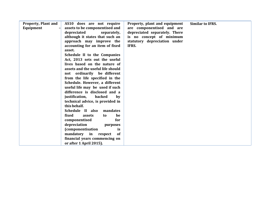| <b>Property, Plant and</b><br>Equipment | AS10 does are not require<br>assets to be componentised and<br>depreciated<br>separately,<br>although it states that such an<br>approach may improve the<br>accounting for an item of fixed<br>asset.<br>Schedule II to the Companies<br>Act, 2013 sets out the useful<br>lives based on the nature of<br>assets and the useful life should<br>not ordinarily be different<br>from the life specified in the<br>Schedule. However, a different<br>useful life may be used if such<br>difference is disclosed and a<br>backed<br>justification,<br>by<br>technical advice, is provided in<br>this behalf.<br>Schedule II also<br>mandates<br>fixed<br>be<br>assets<br>to | Property, plant and equipment<br>are componentised and are<br>depreciated separately. There<br>is no concept of minimum<br>statutory depreciation under<br>IFRS. | <b>Similar to IFRS.</b> |
|-----------------------------------------|-------------------------------------------------------------------------------------------------------------------------------------------------------------------------------------------------------------------------------------------------------------------------------------------------------------------------------------------------------------------------------------------------------------------------------------------------------------------------------------------------------------------------------------------------------------------------------------------------------------------------------------------------------------------------|------------------------------------------------------------------------------------------------------------------------------------------------------------------|-------------------------|
|                                         | componentised<br>for                                                                                                                                                                                                                                                                                                                                                                                                                                                                                                                                                                                                                                                    |                                                                                                                                                                  |                         |
|                                         | depreciation<br>purposes                                                                                                                                                                                                                                                                                                                                                                                                                                                                                                                                                                                                                                                |                                                                                                                                                                  |                         |
|                                         | <i>(componentisation)</i><br>is                                                                                                                                                                                                                                                                                                                                                                                                                                                                                                                                                                                                                                         |                                                                                                                                                                  |                         |
|                                         | mandatory in respect<br>of                                                                                                                                                                                                                                                                                                                                                                                                                                                                                                                                                                                                                                              |                                                                                                                                                                  |                         |
|                                         | financial years commencing on                                                                                                                                                                                                                                                                                                                                                                                                                                                                                                                                                                                                                                           |                                                                                                                                                                  |                         |
|                                         | or after 1 April 2015).                                                                                                                                                                                                                                                                                                                                                                                                                                                                                                                                                                                                                                                 |                                                                                                                                                                  |                         |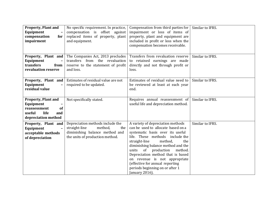| <b>Property, Plant and</b><br>Equipment<br>$\overline{\phantom{a}}$<br>compensation<br>for<br>impairment      | No specific requirement. In practice,<br>compensation is offset against<br>replaced items of property, plant<br>and equipment.           | Compensation from third parties for<br>impairment or loss of items of<br>property, plant and equipment are<br>included in profit or loss when the<br>compensation becomes receivable.                                                                                                                                                                                                                                         | Similar to IFRS. |
|---------------------------------------------------------------------------------------------------------------|------------------------------------------------------------------------------------------------------------------------------------------|-------------------------------------------------------------------------------------------------------------------------------------------------------------------------------------------------------------------------------------------------------------------------------------------------------------------------------------------------------------------------------------------------------------------------------|------------------|
| Property, Plant and<br>Equipment<br>transfers<br>from<br>revaluation reserve                                  | The Companies Act, 2013 precludes<br>transfers from the revaluation<br>reserve to the statement of profit<br>and loss.                   | Transfers from revaluation reserve<br>to retained earnings are made<br>directly and not through profit or<br>loss.                                                                                                                                                                                                                                                                                                            | Similar to IFRS. |
| Property, Plant and<br>Equipment<br>residual value                                                            | Estimates of residual value are not<br>required to be updated.                                                                           | Estimates of residual value need to<br>be reviewed at least at each year<br>end.                                                                                                                                                                                                                                                                                                                                              | Similar to IFRS. |
| <b>Property, Plant and</b><br>Equipment<br>of<br>reassessment<br>life<br>useful<br>and<br>depreciation method | Not specifically stated.                                                                                                                 | Requires annual reassessment of<br>useful life and depreciation method.                                                                                                                                                                                                                                                                                                                                                       | Similar to IFRS. |
| Property, Plant and<br>Equipment<br>$\overline{\phantom{0}}$<br>acceptable methods<br>of depreciation         | Depreciation methods include the<br>straight-line<br>method,<br>the<br>diminishing balance method and<br>the units of production method. | A variety of depreciation methods<br>can be used to allocate based on a<br>systematic basis over its useful<br>life. These methods<br>include the<br>straight-line<br>method,<br>the<br>diminishing balance method and the<br>of production<br>units<br>method.<br>Depreciation method that is based<br>on revenue is not appropriate<br>(effective for annual reporting<br>periods beginning on or after 1<br>January 2016). | Similar to IFRS. |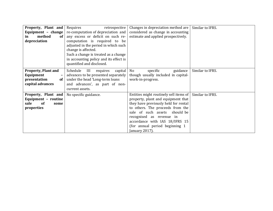| Property, Plant and<br>Equipment - change | Requires<br>retrospective<br>re-computation of depreciation and | Changes in depreciation method are<br>considered as change in accounting | Similar to IFRS. |
|-------------------------------------------|-----------------------------------------------------------------|--------------------------------------------------------------------------|------------------|
|                                           |                                                                 |                                                                          |                  |
| method<br>of<br>in                        | any excess or deficit on such re-                               | estimate and applied prospectively.                                      |                  |
| depreciation                              | computation is required to be                                   |                                                                          |                  |
|                                           | adjusted in the period in which such                            |                                                                          |                  |
|                                           |                                                                 |                                                                          |                  |
|                                           | change is affected.                                             |                                                                          |                  |
|                                           | Such a change is treated as a change                            |                                                                          |                  |
|                                           | in accounting policy and its effect is                          |                                                                          |                  |
|                                           | quantified and disclosed.                                       |                                                                          |                  |
|                                           |                                                                 |                                                                          |                  |
| <b>Property, Plant and</b>                | Schedule<br>III<br>capital<br>requires                          | No<br>specific<br>guidance                                               | Similar to IFRS. |
| Equipment<br>$\qquad \qquad \blacksquare$ | advances to be presented separately                             | though usually included in capital-                                      |                  |
|                                           |                                                                 |                                                                          |                  |
| presentation<br>of                        | under the head 'Long-term loans                                 | work-in-progress.                                                        |                  |
| capital advances                          | and advances', as part of non-                                  |                                                                          |                  |
|                                           | current assets.                                                 |                                                                          |                  |
|                                           |                                                                 | Entities might routinely sell items of                                   | Similar to IFRS. |
| Property, Plant and                       | No specific guidance.                                           |                                                                          |                  |
| Equipment - routine                       |                                                                 | property, plant and equipment that                                       |                  |
| <b>of</b><br>sale<br>some                 |                                                                 | they have previously held for rental                                     |                  |
| properties                                |                                                                 | to others. The proceeds from the                                         |                  |
|                                           |                                                                 | sale of such assets should be                                            |                  |
|                                           |                                                                 | recognised as revenue in                                                 |                  |
|                                           |                                                                 |                                                                          |                  |
|                                           |                                                                 | accordance with IAS 18/IFRS 15                                           |                  |
|                                           |                                                                 | (for annual period beginning 1                                           |                  |
|                                           |                                                                 | January 2017).                                                           |                  |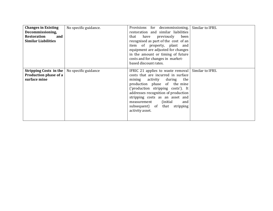| <b>Changes in Existing</b><br>Decommissioning,<br><b>Restoration</b><br>and<br><b>Similar Liabilities</b> | No specific guidance. | Provisions for decommissioning,<br>restoration and similar liabilities<br>have<br>that<br>previously<br>been<br>recognised as part of the cost of an<br>item of property, plant and<br>equipment are adjusted for changes<br>in the amount or timing of future<br>costs and for changes in market-<br>based discount rates.                                        | Similar to IFRS. |
|-----------------------------------------------------------------------------------------------------------|-----------------------|--------------------------------------------------------------------------------------------------------------------------------------------------------------------------------------------------------------------------------------------------------------------------------------------------------------------------------------------------------------------|------------------|
| <b>Stripping Costs in the   No specific guidance</b><br>Production phase of a<br>surface mine             |                       | IFRIC 21 applies to waste removal   Similar to IFRS.<br>costs that are incurred in surface<br>mining<br>activity during the<br>production phase of the mine<br>('production stripping costs'). It<br>addresses recognition of production<br>stripping costs as an asset and<br>(initial)<br>measurement<br>and<br>subsequent) of that stripping<br>activity asset. |                  |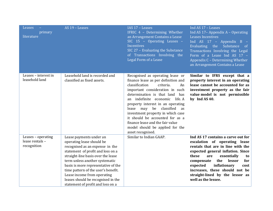| Leases<br>primary<br>literature                      | AS 19 - Leases                                                                                                                                                                                                                                                                                                                                                                               | IAS 17 - Leases<br>IFRIC 4 - Determining Whether<br>an Arrangement Contains a Lease<br>SIC 15 - Operating Leases -<br>Incentives<br>SIC 27 - Evaluating the Substance<br>of Transactions Involving the<br>Legal Form of a Lease                                                                                                                                                                                                                                  | Ind AS 17 - Leases<br>Ind AS 17- Appendix A - Operating<br>Leases Incentives<br>Ind $AS$ 17 - Appendix B -<br>Substance of<br>Evaluating the<br>Transactions Involving the Legal<br>Form of a Lease Ind AS 17 -<br>Appendix C - Determining Whether<br>an Arrangement Contains a Lease                                                                   |
|------------------------------------------------------|----------------------------------------------------------------------------------------------------------------------------------------------------------------------------------------------------------------------------------------------------------------------------------------------------------------------------------------------------------------------------------------------|------------------------------------------------------------------------------------------------------------------------------------------------------------------------------------------------------------------------------------------------------------------------------------------------------------------------------------------------------------------------------------------------------------------------------------------------------------------|----------------------------------------------------------------------------------------------------------------------------------------------------------------------------------------------------------------------------------------------------------------------------------------------------------------------------------------------------------|
| Leases - interest in<br>leasehold land               | Leasehold land is recorded and<br>classified as fixed assets.                                                                                                                                                                                                                                                                                                                                | Recognised as operating lease or<br>finance lease as per definition and<br>classification<br>criteria.<br>An<br>important consideration in such<br>determination is that land has<br>an indefinite economic<br>life. A<br>property interest in an operating<br>lease may be classified<br>as<br>investment property in which case<br>it should be accounted for as a<br>finance lease and the fair value<br>model should be applied for the<br>asset recognised. | Similar to IFRS except that a<br>property interest in an operating<br>lease cannot be accounted for as<br>investment property as the fair<br>value model is not permissible<br>by Ind AS 40.                                                                                                                                                             |
| Leases - operating<br>lease rentals -<br>recognition | Lease payments under an<br>operating lease should be<br>recognised as an expense in the<br>statement of profit and loss on a<br>straight-line basis over the lease<br>term unless another systematic<br>basis is more representative of the<br>time pattern of the user's benefit.<br>Lease income from operating<br>leases should be recognised in the<br>statement of profit and loss on a | Similar to Indian GAAP.                                                                                                                                                                                                                                                                                                                                                                                                                                          | Ind AS 17 contains a carve out for<br>escalation of operating lease<br>rentals that are in line with the<br>expected general inflation. Since<br>these<br>are<br>essentially<br>to<br>the<br>lessor<br>for<br>compensate<br>inflationary<br>expected<br>cost<br>increases, these should not be<br>straight-lined by the lessor as<br>well as the lessee. |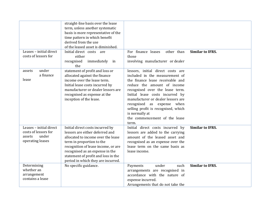| Leases - initial direct<br>costs of lessors for                                        | straight-line basis over the lease<br>term, unless another systematic<br>basis is more representative of the<br>time pattern in which benefit<br>derived from the use<br>of the leased asset is diminished.<br>Initial direct costs<br>are<br>either                                          | For finance leases<br>other than<br>those                                                                                                                                                                                                                                                                                                                                           | <b>Similar to IFRS.</b> |
|----------------------------------------------------------------------------------------|-----------------------------------------------------------------------------------------------------------------------------------------------------------------------------------------------------------------------------------------------------------------------------------------------|-------------------------------------------------------------------------------------------------------------------------------------------------------------------------------------------------------------------------------------------------------------------------------------------------------------------------------------------------------------------------------------|-------------------------|
|                                                                                        | recognised<br>immediately in<br>the                                                                                                                                                                                                                                                           | involving manufacturer or dealer                                                                                                                                                                                                                                                                                                                                                    |                         |
| under<br>assets<br>a finance<br>lease                                                  | statement of profit and loss or<br>allocated against the finance<br>income over the lease term.<br>Initial lease costs incurred by<br>manufacturer or dealer lessors are<br>recognised as expense at the<br>inception of the lease.                                                           | lessors, initial direct costs are<br>included in the measurement of<br>the finance lease receivable and<br>reduce the amount of income<br>recognised over the lease term.<br>Initial lease costs incurred by<br>manufacturer or dealer lessors are<br>recognised as expense when<br>selling profit is recognised, which<br>is normally at<br>the commencement of the lease<br>term. |                         |
| Leases - initial direct<br>costs of lessors for<br>under<br>assets<br>operating leases | Initial direct costs incurred by<br>lessors are either deferred and<br>allocated to income over the lease<br>term in proportion to the<br>recognition of lease income, or are<br>recognised as an expense in the<br>statement of profit and loss in the<br>period in which they are incurred. | Initial direct costs incurred by<br>lessors are added to the carrying<br>amount of the leased asset and<br>recognised as an expense over the<br>lease term on the same basis as<br>lease income.                                                                                                                                                                                    | <b>Similar to IFRS.</b> |
| Determining<br>whether an<br>arrangement<br>contains a lease                           | No specific guidance.                                                                                                                                                                                                                                                                         | under<br>such<br>Payments<br>arrangements are recognised in<br>accordance with the nature of<br>expense incurred.<br>Arrangements that do not take the                                                                                                                                                                                                                              | <b>Similar to IFRS.</b> |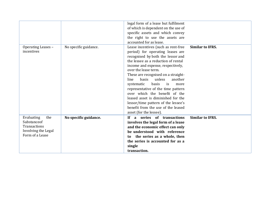|                                  |                       | legal form of a lease but fulfilment |                         |
|----------------------------------|-----------------------|--------------------------------------|-------------------------|
|                                  |                       | of which is dependent on the use of  |                         |
|                                  |                       | specific assets and which convey     |                         |
|                                  |                       | the right to use the assets are      |                         |
|                                  |                       | accounted for as lease.              |                         |
| Operating Leases -               | No specific guidance. | Lease incentives (such as rent-free  | <b>Similar to IFRS.</b> |
| incentives                       |                       | period) for operating leases are     |                         |
|                                  |                       | recognised by both the lessor and    |                         |
|                                  |                       | the lessee as a reduction of rental  |                         |
|                                  |                       | income and expense, respectively,    |                         |
|                                  |                       | over the lease term.                 |                         |
|                                  |                       | These are recognised on a straight-  |                         |
|                                  |                       | basis<br>unless<br>another<br>line   |                         |
|                                  |                       | basis<br>systematic<br>is<br>more    |                         |
|                                  |                       | representative of the time pattern   |                         |
|                                  |                       | over which the benefit of the        |                         |
|                                  |                       | leased asset is diminished for the   |                         |
|                                  |                       | lessor/time pattern of the lessee's  |                         |
|                                  |                       | benefit from the use of the leased   |                         |
|                                  |                       | asset (for the lessee).              |                         |
|                                  |                       |                                      |                         |
| the<br>Evaluating<br>Substanceof | No specific guidance. | a series of transactions<br>If       | <b>Similar to IFRS.</b> |
| Transactions                     |                       | involves the legal form of a lease   |                         |
| Involving the Legal              |                       | and the economic effect can only     |                         |
| Form of a Lease                  |                       | be understood with reference         |                         |
|                                  |                       | the series as a whole, then<br>to    |                         |
|                                  |                       | the series is accounted for as a     |                         |
|                                  |                       | single                               |                         |
|                                  |                       | transaction.                         |                         |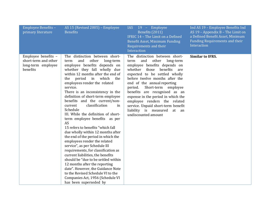| Employee Benefits -<br>primary literature                                     | AS 15 (Revised 2005) - Employee<br><b>Benefits</b>                                                                                                                                                                                                                                                                                                                                                                                                                                                                                                                                                                                                                                                                                                                                                                                                                                                                                                                           | 19 - Employee<br><b>IAS</b><br>Benefits (2011)<br>IFRIC 14 - The Limit on a Defined<br>Benefit Asset, Minimum Funding<br>Requirements and their<br>Interaction                                                                                                                                                                                                                                                                                                                    | Ind AS 19 - Employee Benefits Ind<br>AS 19 - Appendix B - The Limit on<br>a Defined Benefit Asset, Minimum<br>Funding Requirements and their<br>Interaction |
|-------------------------------------------------------------------------------|------------------------------------------------------------------------------------------------------------------------------------------------------------------------------------------------------------------------------------------------------------------------------------------------------------------------------------------------------------------------------------------------------------------------------------------------------------------------------------------------------------------------------------------------------------------------------------------------------------------------------------------------------------------------------------------------------------------------------------------------------------------------------------------------------------------------------------------------------------------------------------------------------------------------------------------------------------------------------|-----------------------------------------------------------------------------------------------------------------------------------------------------------------------------------------------------------------------------------------------------------------------------------------------------------------------------------------------------------------------------------------------------------------------------------------------------------------------------------|-------------------------------------------------------------------------------------------------------------------------------------------------------------|
| Employee benefits -<br>short-term and other<br>long-term employee<br>benefits | The distinction between short-<br>and<br>other<br>long-term<br>term<br>employee benefits depends on<br>whether they fall wholly due<br>within 12 months after the end of<br>period<br>in which<br>the<br>the<br>employees render the related<br>service.<br>There is an inconsistency in the<br>definition of short-term employee<br>benefits and the current/non-<br>classification<br>current<br>in<br>Schedule<br>III. While the definition of short-<br>term employee benefits as per<br>AS<br>15 refers to benefits "which fall<br>due wholly within 12 months after<br>the end of the period in which the<br>employees render the related<br>service", as per Schedule III<br>requirements, for classification as<br>current liabilities, the benefits<br>should be "due to be settled within<br>12 months after the reporting<br>date". However, the Guidance Note<br>to the Revised Schedule VI to the<br>Companies Act, 1956 (Schedule VI<br>has been superseded by | The distinction between short-<br>and<br>other<br>long-term<br>term<br>employee benefits depends on<br>benefits<br>whether<br>those<br>are<br>expected to be settled wholly<br>before twelve months after the<br>end of the annual reporting<br>Short-term employee<br>period.<br>benefits are recognised as an<br>expense in the period in which the<br>employee renders the related<br>service. Unpaid short-term benefit<br>liability is measured at an<br>undiscounted amount | <b>Similar to IFRS.</b>                                                                                                                                     |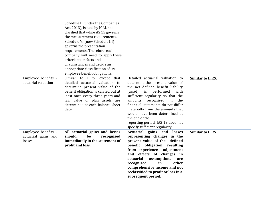|                                            | Schedule III under the Companies                             |                                                                     |                         |
|--------------------------------------------|--------------------------------------------------------------|---------------------------------------------------------------------|-------------------------|
|                                            | Act, 2013), issued by ICAI, has                              |                                                                     |                         |
|                                            | clarified that while AS 15 governs                           |                                                                     |                         |
|                                            | the measurement requirements,                                |                                                                     |                         |
|                                            | Schedule VI (now Schedule III)                               |                                                                     |                         |
|                                            | governs the presentation                                     |                                                                     |                         |
|                                            | requirements. Therefore, each                                |                                                                     |                         |
|                                            | company will need to apply these                             |                                                                     |                         |
|                                            | criteria to its facts and                                    |                                                                     |                         |
|                                            | circumstances and decide an                                  |                                                                     |                         |
|                                            | appropriate classification of its                            |                                                                     |                         |
|                                            | employee benefit obligations.                                |                                                                     |                         |
| Employee benefits -                        | Similar to IFRS, except that                                 | Detailed actuarial valuation to                                     | <b>Similar to IFRS.</b> |
| actuarial valuation                        | detailed actuarial valuation to                              | determine the present value of                                      |                         |
|                                            | determine present value of the                               | the net defined benefit liability                                   |                         |
|                                            | benefit obligation is carried out at                         | (asset) is performed<br>with                                        |                         |
|                                            | least once every three years and                             | sufficient regularity so that the                                   |                         |
|                                            | fair value of plan assets are                                | amounts recognised<br>in the                                        |                         |
|                                            | determined at each balance sheet                             | financial statements do not differ                                  |                         |
|                                            | date.                                                        | materially from the amounts that                                    |                         |
|                                            |                                                              | would have been determined at<br>the end of the                     |                         |
|                                            |                                                              |                                                                     |                         |
|                                            |                                                              | reporting period. IAS 19 does not<br>specify sufficient regularity. |                         |
|                                            |                                                              | Actuarial gains and losses                                          | <b>Similar to IFRS.</b> |
| Employee benefits -<br>actuarial gains and | All actuarial gains and losses<br>should<br>be<br>recognised | representing changes in the                                         |                         |
| losses                                     | immediately in the statement of                              | present value of the defined                                        |                         |
|                                            | profit and loss.                                             | benefit obligation resulting                                        |                         |
|                                            |                                                              | from experience<br>adjustment                                       |                         |
|                                            |                                                              | and effects of changes in                                           |                         |
|                                            |                                                              | actuarial<br>assumptions<br>are                                     |                         |
|                                            |                                                              | other<br>in<br>recognised                                           |                         |
|                                            |                                                              | comprehensive income and not                                        |                         |
|                                            |                                                              | reclassified to profit or loss in a                                 |                         |
|                                            |                                                              | subsequent period.                                                  |                         |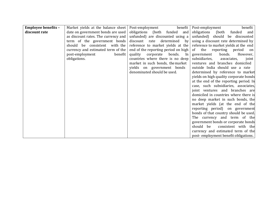| <b>Employee benefits -</b> | Market yields at the balance sheet  | Post-employment<br>benefit           | benefit<br>Post-employment             |
|----------------------------|-------------------------------------|--------------------------------------|----------------------------------------|
| discount rate              | date on government bonds are used   | obligations (both funded and         | obligations<br>(both<br>funded<br>and  |
|                            | as discount rates. The currency and | unfunded) are discounted using a     | unfunded) should be discounted         |
|                            | term of the government bonds        | determined by<br>discount rate       | using a discount rate determined by    |
|                            | should be consistent with the       | reference to market yields at the    | reference to market yields at the end  |
|                            | currency and estimated term of the  | end of the reporting period on high  | of the reporting period<br>on          |
|                            | post-employment<br>benefit          | quality<br>corporate<br>bonds.<br>In | bonds.<br>However,<br>government       |
|                            | obligations.                        | countries where there is no deep     | subsidiaries,<br>associates,<br>joint  |
|                            |                                     | market in such bonds, the market     | ventures and branches domiciled        |
|                            |                                     | yields on government bonds           | outside India should use a rate        |
|                            |                                     | denominated should be used.          | determined by reference to market      |
|                            |                                     |                                      | yields on high quality corporate bonds |
|                            |                                     |                                      | at the end of the reporting period. In |
|                            |                                     |                                      | case, such subsidiaries, associates,   |
|                            |                                     |                                      | joint ventures and branches are        |
|                            |                                     |                                      | domiciled in countries where there is  |
|                            |                                     |                                      | no deep market in such bonds, the      |
|                            |                                     |                                      | market yields (at the end of the       |
|                            |                                     |                                      | reporting period) on government        |
|                            |                                     |                                      | bonds of that country should be used.  |
|                            |                                     |                                      | The currency and term of the           |
|                            |                                     |                                      | government bonds or corporate bonds    |
|                            |                                     |                                      | consistent with the<br>should be       |
|                            |                                     |                                      | currency and estimated term of the     |
|                            |                                     |                                      | post-employment benefit obligations.   |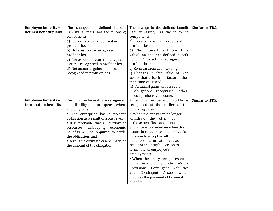| <b>Employee benefits -</b> | The changes in defined benefit          | The change in the defined benefit    | Similar to IFRS. |
|----------------------------|-----------------------------------------|--------------------------------------|------------------|
| defined benefit plans      | liability (surplus) has the following   | liability (asset) has the following  |                  |
|                            | components:                             | components:                          |                  |
|                            | a) Service cost - recognised in         | a) Service cost - recognised in      |                  |
|                            | profit or loss;                         | profit or loss;                      |                  |
|                            | b) Interest cost - recognised in        | b) Net interest cost (i.e. time      |                  |
|                            | profit or loss;                         | value) on the net defined benefit    |                  |
|                            | c) The expected return on any plan      | deficit / (asset) – recognised in    |                  |
|                            | assets - recognised in profit or loss;  | profit or loss;                      |                  |
|                            | d) Net actuarial gains and losses -     | c) Re-measurement including          |                  |
|                            | recognised in profit or loss.           | i) Changes in fair value of plan     |                  |
|                            |                                         | assets that arise from factors other |                  |
|                            |                                         | than time value and                  |                  |
|                            |                                         | ii) Actuarial gains and losses on    |                  |
|                            |                                         | obligations - recognised in other    |                  |
|                            |                                         | comprehensive income.                |                  |
| <b>Employee benefits -</b> | Termination benefits are recognised     | A termination benefit liability is   | Similar to IFRS. |
| termination benefits       | as a liability and an expense when,     | recognised at the earlier of the     |                  |
|                            | and only when:                          | following dates:                     |                  |
|                            | • The enterprise has a present          | • When the entity can no longer      |                  |
|                            | obligation as a result of a past event; | withdraw the offer of                |                  |
|                            | • It is probable that an outflow of     | those benefits - additional          |                  |
|                            | resources embodying<br>economic         | guidance is provided on when this    |                  |
|                            | benefits will be required to settle     | occurs in relation to an employee's  |                  |
|                            | the obligation; and                     | decision to accept an offer of       |                  |
|                            | • A reliable estimate can be made of    | benefits on termination and as a     |                  |
|                            | the amount of the obligation.           | result of an entity's decision to    |                  |
|                            |                                         | terminate an employee's              |                  |
|                            |                                         | employment;                          |                  |
|                            |                                         | • When the entity recognises costs   |                  |
|                            |                                         | for a restructuring under IAS 37     |                  |
|                            |                                         | Provisions, Contingent Liabilities   |                  |
|                            |                                         | Contingent Assets which<br>and       |                  |
|                            |                                         | involves the payment of termination  |                  |
|                            |                                         | benefits.                            |                  |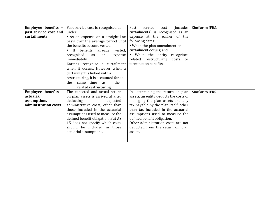| Employee benefits -   | Past service cost is recognised as       | (includes)<br>service<br>Past<br>cost         | Similar to IFRS. |
|-----------------------|------------------------------------------|-----------------------------------------------|------------------|
| past service cost and | under:                                   | curtailments) is recognised as an             |                  |
| curtailments          | • As an expense on a straight-line       | expense at the earlier of the                 |                  |
|                       | basis over the average period until      | following dates:                              |                  |
|                       | the benefits become vested.              | • When the plan amendment or                  |                  |
|                       | If benefits already vested,<br>$\bullet$ | curtailment occurs; and                       |                  |
|                       | recognised<br>as<br>an                   | expense $\cdot$ When the entity<br>recognises |                  |
|                       | immediately.                             | related restructuring<br>costs<br>or          |                  |
|                       | Entities recognise a curtailment         | termination benefits.                         |                  |
|                       | when it occurs. However when a           |                                               |                  |
|                       | curtailment is linked with a             |                                               |                  |
|                       | restructuring, it is accounted for at    |                                               |                  |
|                       | same time as<br>the<br>the               |                                               |                  |
|                       | related restructuring.                   |                                               |                  |
| Employee benefits -   | The expected and actual return           | In determining the return on plan             | Similar to IFRS. |
| actuarial             | on plan assets is arrived at after       | assets, an entity deducts the costs of        |                  |
| assumptions -         | deducting<br>expected                    | managing the plan assets and any              |                  |
| administration costs  | administrative costs, other than         | tax payable by the plan itself, other         |                  |
|                       | those included in the actuarial          | than tax included in the actuarial            |                  |
|                       | assumptions used to measure the          | assumptions used to measure the               |                  |
|                       | defined benefit obligation. But AS       | defined benefit obligation.                   |                  |
|                       | 15 does not specify which costs          | Other administration costs are not            |                  |
|                       | should be included in those              | deducted from the return on plan              |                  |
|                       | actuarial assumptions.                   | assets.                                       |                  |
|                       |                                          |                                               |                  |
|                       |                                          |                                               |                  |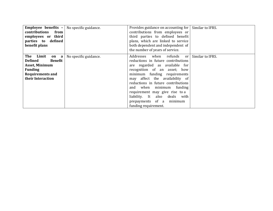| <b>Employee benefits <math>-</math></b> No specific guidance.<br>contributions<br>from<br>employees or third<br>parties to defined<br>benefit plans |                       | Provides guidance on accounting for<br>contributions from employees or<br>third parties to defined benefit<br>plans, which are linked to service<br>both dependent and independent of<br>the number of years of service.                                                                                                                                                                                     | Similar to IFRS. |
|-----------------------------------------------------------------------------------------------------------------------------------------------------|-----------------------|--------------------------------------------------------------------------------------------------------------------------------------------------------------------------------------------------------------------------------------------------------------------------------------------------------------------------------------------------------------------------------------------------------------|------------------|
| The<br>Limit<br>on<br>a<br><b>Defined</b><br>Benefit<br><b>Asset, Minimum</b><br><b>Funding</b><br><b>Requirements and</b><br>their Interaction     | No specific guidance. | Addresses<br>refunds<br>when<br>or  <br>reductions in future contributions<br>are regarded as available for<br>recognition of an asset; how<br>minimum funding requirements<br>may affect the availability of<br>reductions in future contributions<br>and when minimum funding<br>requirement may give rise to a<br>liability. It also deals<br>with<br>prepayments of a<br>minimum<br>funding requirement. | Similar to IFRS. |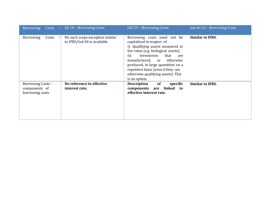|                                                       | Borrowing Costs - AS 16 - Borrowing Costs                                                   | IAS 23 - Borrowing Costs                                                                                                                                                                                                                                                                                                                        | Ind AS 23 - Borrowing Costs |
|-------------------------------------------------------|---------------------------------------------------------------------------------------------|-------------------------------------------------------------------------------------------------------------------------------------------------------------------------------------------------------------------------------------------------------------------------------------------------------------------------------------------------|-----------------------------|
| <b>Borrowing</b><br>Costs                             | No such scope exception similar<br>$\overline{\phantom{0}}$<br>to IFRS/Ind AS is available. | Borrowing costs need not be<br>capitalised in respect of<br>i) Qualifying assets measured at<br>fair value (e.g. biological assets)<br>$\rm ii)$<br>Inventories<br>that<br>are<br>manufactured, or otherwise<br>produced, in large quantities on a<br>repetitive basis (even if they are<br>otherwise qualifying assets). This<br>is an option. | <b>Similar to IFRS.</b>     |
| Borrowing Costs -<br>components of<br>borrowing costs | No reference to effective<br>interest rate.                                                 | of<br>specific<br><b>Description</b><br>are linked to<br>components<br>effective interest rate.                                                                                                                                                                                                                                                 | <b>Similar to IFRS.</b>     |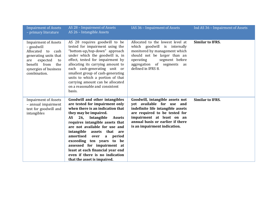| <b>Impairment of Assets</b><br>- primary literature                                                                                                                                       | AS 28 - Impairment of Assets<br>AS 26 - Intangible Assets                                                                                                                                                                                                                                                                                                                                                                                                                                    | IAS 36 - Impairment of Assets                                                                                                                                                                                                       | Ind AS 36 - Impairment of Assets |
|-------------------------------------------------------------------------------------------------------------------------------------------------------------------------------------------|----------------------------------------------------------------------------------------------------------------------------------------------------------------------------------------------------------------------------------------------------------------------------------------------------------------------------------------------------------------------------------------------------------------------------------------------------------------------------------------------|-------------------------------------------------------------------------------------------------------------------------------------------------------------------------------------------------------------------------------------|----------------------------------|
| <b>Impairment of Assets</b><br>- goodwill<br>Allocated<br>to<br>cash<br>generating units that<br>expected<br>to<br>are<br>benefit<br>from<br>the<br>synergies of business<br>combination. | AS 28 requires goodwill to be<br>tested for impairment using the<br>"bottom-up/top-down" approach<br>under which the goodwill is, in<br>effect, tested for impairment by<br>allocating its carrying amount to<br>each cash-generating unit or<br>smallest group of cash-generating<br>units to which a portion of that<br>carrying amount can be allocated<br>on a reasonable and consistent<br>basis.                                                                                       | Allocated to the lowest level at<br>which goodwill is internally<br>monitored by management which<br>should not be larger than an<br>segment before<br>operating<br>aggregation of segments<br>as<br>defined in IFRS 8.             | <b>Similar to IFRS.</b>          |
| <b>Impairment of Assets</b><br>- annual impairment<br>test for goodwill and<br>intangibles                                                                                                | Goodwill and other intangibles<br>are tested for impairment only<br>when there is an indication that<br>they may be impaired.<br>Intangible<br><b>AS</b><br>26,<br><b>Assets</b><br>requires intangible assets that<br>are not available for use and<br>intangible<br>assets<br>that are<br>amortised<br>over<br>period<br>a<br>exceeding ten years to be<br>assessed for impairment at<br>least at each financial year end<br>even if there is no indication<br>that the asset is impaired. | Goodwill, intangible assets not<br>yet available for use and<br>indefinite life intangible assets<br>are required to be tested for<br>impairment at least on an<br>annual basis or earlier if there<br>is an impairment indication. | <b>Similar to IFRS.</b>          |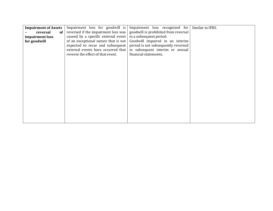| <b>Impairment of Assets</b><br>reversal<br>of<br>impairment loss<br>for goodwill | Impairment loss for goodwill is<br>reversed if the impairment loss was<br>caused by a specific external event<br>of an exceptional nature that is not<br>expected to recur and subsequent<br>external events have occurred that<br>reverse the effect of that event. | Impairment loss recognised for<br>goodwill is prohibited from reversal<br>in a subsequent period.<br>Goodwill impaired in an interim<br>period is not subsequently reversed<br>in subsequent interim or annual<br>financial statements. | Similar to IFRS. |
|----------------------------------------------------------------------------------|----------------------------------------------------------------------------------------------------------------------------------------------------------------------------------------------------------------------------------------------------------------------|-----------------------------------------------------------------------------------------------------------------------------------------------------------------------------------------------------------------------------------------|------------------|
|                                                                                  |                                                                                                                                                                                                                                                                      |                                                                                                                                                                                                                                         |                  |
|                                                                                  |                                                                                                                                                                                                                                                                      |                                                                                                                                                                                                                                         |                  |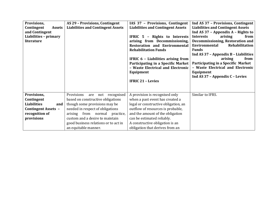| Provisions,                 | AS 29 - Provisions, Contingent           | IAS 37 - Provisions, Contingent          | Ind AS 37 - Provisions, Contingent       |
|-----------------------------|------------------------------------------|------------------------------------------|------------------------------------------|
| Contingent<br><b>Assets</b> | <b>Liabilities and Contingent Assets</b> | <b>Liabilities and Contingent Assets</b> | <b>Liabilities and Contingent Assets</b> |
| and Contingent              |                                          |                                          | Ind AS 37 - Appendix A - Rights to       |
| Liabilities - primary       |                                          | IFRIC 5 - Rights to Interests            | <b>Interests</b><br>arising<br>from      |
| literature                  |                                          | arising from Decommissioning,            | Decommissioning, Restoration and         |
|                             |                                          | <b>Restoration and Environmental</b>     | Environmental<br>Rehabilitation          |
|                             |                                          | <b>Rehabilitation Funds</b>              | <b>Funds</b>                             |
|                             |                                          |                                          | Ind AS 37 - Appendix B - Liabilities     |
|                             |                                          | IFRIC 6 - Liabilities arising from       | arising<br>from                          |
|                             |                                          | Participating in a Specific Market       | Participating in a Specific Market       |
|                             |                                          | - Waste Electrical and Electronic        | - Waste Electrical and Electronic        |
|                             |                                          | Equipment                                | Equipment                                |
|                             |                                          |                                          | Ind AS 37 - Appendix C - Levies          |
|                             |                                          | <b>IFRIC 21 - Levies</b>                 |                                          |
|                             |                                          |                                          |                                          |
| Provisions,                 | Provisions<br>not recognised<br>are      | A provision is recognised only           | Similar to IFRS.                         |
| Contingent                  | based on constructive obligations        | when a past event has created a          |                                          |
| <b>Liabilities</b>          |                                          |                                          |                                          |
| and                         | though some provisions may be            | legal or constructive obligation, an     |                                          |
| <b>Contingent Assets -</b>  | needed in respect of obligations         | outflow of resources is probable,        |                                          |
| recognition of              | arising from normal practice,            | and the amount of the obligation         |                                          |
| provisions                  | custom and a desire to maintain          | can be estimated reliably.               |                                          |
|                             | good business relations or to act in     | A constructive obligation is an          |                                          |
|                             | an equitable manner.                     | obligation that derives from an          |                                          |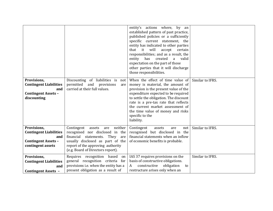|                               |                                        | entity's actions where, by an                                   |                  |
|-------------------------------|----------------------------------------|-----------------------------------------------------------------|------------------|
|                               |                                        | established pattern of past practice,                           |                  |
|                               |                                        | published policies or a sufficiently                            |                  |
|                               |                                        | specific current statement, the                                 |                  |
|                               |                                        | entity has indicated to other parties                           |                  |
|                               |                                        | that it will<br>accept certain                                  |                  |
|                               |                                        | responsibilities; and as a result, the                          |                  |
|                               |                                        | entity<br>has<br>created<br>valid<br>a                          |                  |
|                               |                                        | expectation on the part of those                                |                  |
|                               |                                        | other parties that it will discharge<br>those responsibilities. |                  |
|                               |                                        |                                                                 |                  |
| Provisions,                   | Discounting of liabilities is<br>not   | When the effect of time value of                                | Similar to IFRS. |
| <b>Contingent Liabilities</b> | permitted<br>and<br>provisions<br>are  | money is material, the amount of                                |                  |
| and                           | carried at their full values.          | provision is the present value of the                           |                  |
| <b>Contingent Assets -</b>    |                                        | expenditure expected to be required                             |                  |
| discounting                   |                                        | to settle the obligation. The discount                          |                  |
|                               |                                        | rate is a pre-tax rate that reflects                            |                  |
|                               |                                        | the current market assessment of                                |                  |
|                               |                                        | the time value of money and risks                               |                  |
|                               |                                        | specific to the                                                 |                  |
|                               |                                        | liability.                                                      |                  |
| Provisions,                   | Contingent<br>neither<br>assets<br>are | Contingent<br>assets<br>not<br>are                              | Similar to IFRS. |
| <b>Contingent Liabilities</b> | recognised nor disclosed in the        | recognised but disclosed in the                                 |                  |
| and                           | financial<br>statements. They<br>are   | financial statements when an inflow                             |                  |
| <b>Contingent Assets -</b>    | usually disclosed as part of the       | of economic benefits is probable.                               |                  |
| contingent assets             | report of the approving authority      |                                                                 |                  |
|                               | (e.g. Board of Directors report).      |                                                                 |                  |
| Provisions,                   | Requires recognition<br>based<br>on    | IAS 37 requires provisions on the                               | Similar to IFRS. |
| <b>Contingent Liabilities</b> | general recognition criteria for       | basis of constructive obligations.                              |                  |
| and                           | provisions i.e. when the entity has a  | obligation<br>constructive<br>A<br>to                           |                  |
| <b>Contingent Assets -</b>    | present obligation as a result of      | restructure arises only when an                                 |                  |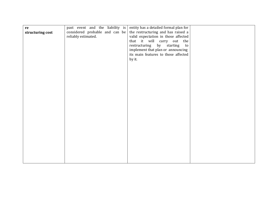| re               | past event and the liability is | entity has a detailed formal plan for |  |
|------------------|---------------------------------|---------------------------------------|--|
| structuring cost | considered probable and can be  | the restructuring and has raised a    |  |
|                  | reliably estimated.             | valid expectation in those affected   |  |
|                  |                                 | that it will carry out the            |  |
|                  |                                 | restructuring<br>by<br>starting<br>to |  |
|                  |                                 | implement that plan or announcing     |  |
|                  |                                 | its main features to those affected   |  |
|                  |                                 | by it.                                |  |
|                  |                                 |                                       |  |
|                  |                                 |                                       |  |
|                  |                                 |                                       |  |
|                  |                                 |                                       |  |
|                  |                                 |                                       |  |
|                  |                                 |                                       |  |
|                  |                                 |                                       |  |
|                  |                                 |                                       |  |
|                  |                                 |                                       |  |
|                  |                                 |                                       |  |
|                  |                                 |                                       |  |
|                  |                                 |                                       |  |
|                  |                                 |                                       |  |
|                  |                                 |                                       |  |
|                  |                                 |                                       |  |
|                  |                                 |                                       |  |
|                  |                                 |                                       |  |
|                  |                                 |                                       |  |
|                  |                                 |                                       |  |
|                  |                                 |                                       |  |
|                  |                                 |                                       |  |
|                  |                                 |                                       |  |
|                  |                                 |                                       |  |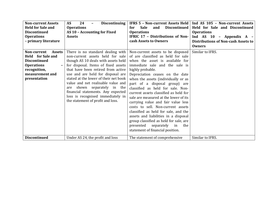| <b>Non-current Assets</b><br><b>Held for Sale and</b><br><b>Discontinued</b><br><b>Operations</b><br>- primary literature                                                           | 24<br><b>AS</b><br><b>Discontinuing</b><br><b>Operations</b><br>AS 10 - Accounting for Fixed<br><b>Assets</b>                                                                                                                                                                                                                                                                                                                                                   | <b>Sale</b><br>Discontinued<br>and<br>for<br><b>Operations</b><br><b>IFRIC 17 - Distributions of Non-</b><br>cash Assets to Owners                                                                                                                                                                                                                                                                                                                                                                                                                                                                                                                                               | IFRS 5 - Non-current Assets Held   Ind AS 105 - Non-current Assets<br>Held for Sale and Discontinued<br><b>Operations</b><br>Ind AS 10 - Appendix A -<br><b>Distributions of Non-cash Assets to</b><br><b>Owners</b> |
|-------------------------------------------------------------------------------------------------------------------------------------------------------------------------------------|-----------------------------------------------------------------------------------------------------------------------------------------------------------------------------------------------------------------------------------------------------------------------------------------------------------------------------------------------------------------------------------------------------------------------------------------------------------------|----------------------------------------------------------------------------------------------------------------------------------------------------------------------------------------------------------------------------------------------------------------------------------------------------------------------------------------------------------------------------------------------------------------------------------------------------------------------------------------------------------------------------------------------------------------------------------------------------------------------------------------------------------------------------------|----------------------------------------------------------------------------------------------------------------------------------------------------------------------------------------------------------------------|
| Non-current<br><b>Assets</b><br><b>Held</b> for Sale and<br><b>Discontinued</b><br><b>Operations</b><br>$\overline{\phantom{m}}$<br>recognition,<br>measurement and<br>presentation | There is no standard dealing with<br>non-current assets held for sale<br>though AS 10 deals with assets held<br>for disposal. Items of fixed assets<br>that have been retired from active<br>use and are held for disposal are<br>stated at the lower of their net book<br>value and net realisable value and<br>shown separately in the<br>are<br>financial statements. Any expected<br>loss is recognised immediately in<br>the statement of profit and loss. | Non-current assets to be disposed<br>of are classified as held for sale<br>when the asset is available for<br>immediate sale and the sale is<br>highly probable.<br>Depreciation ceases on the date<br>when the assets (individually or as<br>part of a disposal group) are<br>classified as held for sale. Non-<br>current assets classified as held for<br>sale are measured at the lower of its<br>carrying value and fair value less<br>costs to sell. Non-current assets<br>classified as held for sale, and the<br>assets and liabilities in a disposal<br>group classified as held for sale, are<br>presented separately<br>in<br>the<br>statement of financial position. | Similar to IFRS.                                                                                                                                                                                                     |
| <b>Discontinued</b>                                                                                                                                                                 | Under AS 24, the profit and loss                                                                                                                                                                                                                                                                                                                                                                                                                                | The statement of comprehensive                                                                                                                                                                                                                                                                                                                                                                                                                                                                                                                                                                                                                                                   | Similar to IFRS.                                                                                                                                                                                                     |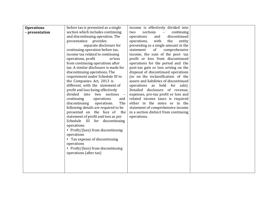| <b>Operations</b> | before tax is presented as a single                          | income is effectively divided into          |  |
|-------------------|--------------------------------------------------------------|---------------------------------------------|--|
| - presentation    | section which includes continuing                            | sections<br>$\sim$ $-$<br>continuing<br>two |  |
|                   | and discontinuing operation. The                             | discontinued<br>operations<br>and           |  |
|                   | presentation<br>provides                                     | with<br>the<br>operations,<br>entity        |  |
|                   | separate disclosure for                                      | presenting as a single amount in the        |  |
|                   | continuing operation before tax,                             | statement<br>of<br>comprehensive            |  |
|                   | income tax related to continuing                             | income, the sum of the post- tax            |  |
|                   | operations, profit<br>or loss                                | profit or loss from discontinued            |  |
|                   | from continuing operations after                             | operations for the period and the           |  |
|                   | tax. A similar disclosure is made for                        | post-tax gain or loss arising on the        |  |
|                   | discontinuing operations. The                                | disposal of discontinued operations         |  |
|                   | requirement under Schedule III to                            | (or on the reclassification of the          |  |
|                   | the Companies Act, 2013 is                                   | assets and liabilities of discontinued      |  |
|                   | different, with the statement of                             | operations as held for sale).               |  |
|                   | profit and loss being effectively                            | Detailed disclosure of revenue,             |  |
|                   | divided into<br>two sections<br>$\overline{a}$               | expenses, pre-tax profit or loss and        |  |
|                   | continuing<br>operations<br>and                              | related income taxes is required            |  |
|                   | discontinuing<br>The<br>operations.                          | either in the notes or in the               |  |
|                   | following details are required to be                         | statement of comprehensive income           |  |
|                   | presented on the face of<br>the                              | in a section distinct from continuing       |  |
|                   | statement of profit and loss as per                          | operations.                                 |  |
|                   | Schedule III for discontinuing<br>operations:                |                                             |  |
|                   |                                                              |                                             |  |
|                   | • Profit/(loss) from discontinuing                           |                                             |  |
|                   | operations                                                   |                                             |  |
|                   | • Tax expense of discontinuing<br>operations                 |                                             |  |
|                   |                                                              |                                             |  |
|                   | • Profit/(loss) from discontinuing<br>operations (after tax) |                                             |  |
|                   |                                                              |                                             |  |
|                   |                                                              |                                             |  |
|                   |                                                              |                                             |  |
|                   |                                                              |                                             |  |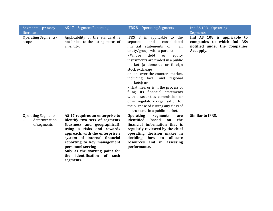| Segments – primary<br>literature                          | AS 17 - Segment Reporting                                                                                                                                                                                                                                                                                                               | <b>IFRS 8 - Operating Segments</b>                                                                                                                                                                                                                                                                                                                                                                                                                                                                                                                                             | Ind AS 108 - Operating<br>Segments                                                                      |
|-----------------------------------------------------------|-----------------------------------------------------------------------------------------------------------------------------------------------------------------------------------------------------------------------------------------------------------------------------------------------------------------------------------------|--------------------------------------------------------------------------------------------------------------------------------------------------------------------------------------------------------------------------------------------------------------------------------------------------------------------------------------------------------------------------------------------------------------------------------------------------------------------------------------------------------------------------------------------------------------------------------|---------------------------------------------------------------------------------------------------------|
| <b>Operating Segments-</b><br>scope                       | Applicability of the standard is<br>not linked to the listing status of<br>an entity.                                                                                                                                                                                                                                                   | IFRS 8 is applicable to the<br>consolidated<br>and<br>separate<br>statements of<br>financial<br>an<br>entity/group with a parent:<br>• Whose<br>debt<br>or<br>equity<br>instruments are traded in a public<br>market (a domestic or foreign<br>stock exchange<br>or an over-the-counter market,<br>including local and regional<br>markets); or<br>• That files, or is in the process of<br>filing, its financial statements<br>with a securities commission or<br>other regulatory organisation for<br>the purpose of issuing any class of<br>instruments in a public market. | Ind AS 108 is applicable to<br>companies to which Ind ASs<br>notified under the Companies<br>Act apply. |
| <b>Operating Segments</b><br>determination<br>of segments | AS 17 requires an enterprise to<br>identify two sets of segments<br>(business and geographical),<br>using a risks and rewards<br>approach, with the enterprise's<br>system of internal financial<br>reporting to key management<br>personnel serving<br>only as the starting point for<br>identification<br>of such<br>the<br>segments. | <b>Operating</b><br>segments<br>are<br>identified<br>based<br>the<br><sub>on</sub><br>financial information that is<br>regularly reviewed by the chief<br>operating decision maker in<br>deciding<br>allocate<br>how<br>to<br>resources and in<br>assessing<br>performance.                                                                                                                                                                                                                                                                                                    | <b>Similar to IFRS.</b>                                                                                 |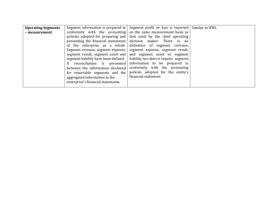| <b>Operating Segments</b> |                                      | Segment information is prepared in $\vert$ Segment profit or loss is reported | Similar to IFRS. |
|---------------------------|--------------------------------------|-------------------------------------------------------------------------------|------------------|
| - measurement             |                                      | conformity with the accounting on the same measurement basis as               |                  |
|                           |                                      | policies adopted for preparing and   that used by the chief operating         |                  |
|                           |                                      | presenting the financial statements decision maker. There is no               |                  |
|                           |                                      | of the enterprise as a whole definition of segment revenue,                   |                  |
|                           | Segment revenue, segment expense,    | segment expense, segment result,                                              |                  |
|                           |                                      | segment result, segment asset and and segment asset or segment                |                  |
|                           | segment liability have been defined. | liability nor does it require segment                                         |                  |
|                           | reconciliation is presented<br>A     | information to be prepared in                                                 |                  |
|                           | between the information disclosed    | conformity with the accounting                                                |                  |
|                           | for reportable segments and the      | policies adopted for the entity's                                             |                  |
|                           | aggregated information in the        | financial statement.                                                          |                  |
|                           | enterprise's financial statements.   |                                                                               |                  |
|                           |                                      |                                                                               |                  |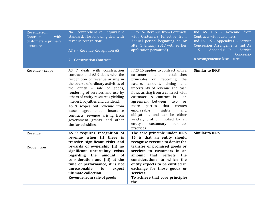| Revenuefrom<br>with<br>Contract<br>customers - primary<br>literature | No comprehensive equivalent<br>standard. The following deal with<br>revenue recognition:<br>AS 9 - Revenue Recognition AS<br>7 - Construction Contracts                                                                                                                                                                                                                                                                                                     | IFRS 15- Revenue from Contracts<br>with Customers (effective from<br>Annual period beginning on or<br>after 1 January 2017 with earlier<br>application permitted)                                                                                                                                                                                                                                                                                                                | Ind AS 115 - Revenue from<br><b>Contracts with Customers</b><br>Ind AS 115 - Appendix C - Service<br>Concession Arrangements Ind AS<br>115 - Appendix D - Service<br>Concessio<br>n Arrangements: Disclosures |
|----------------------------------------------------------------------|-------------------------------------------------------------------------------------------------------------------------------------------------------------------------------------------------------------------------------------------------------------------------------------------------------------------------------------------------------------------------------------------------------------------------------------------------------------|----------------------------------------------------------------------------------------------------------------------------------------------------------------------------------------------------------------------------------------------------------------------------------------------------------------------------------------------------------------------------------------------------------------------------------------------------------------------------------|---------------------------------------------------------------------------------------------------------------------------------------------------------------------------------------------------------------|
| Revenue – scope                                                      | AS 7 deals with construction<br>contracts and AS 9 deals with the<br>recognition of revenue arising in<br>the course of ordinary activities of<br>the entity - sale of goods,<br>rendering of services and use by<br>others of entity resources yielding<br>interest, royalties and dividend.<br>AS 9 scopes out revenue from<br>agreements,<br>insurance<br>lease<br>contracts, revenue arising from<br>government grants, and other<br>similar subsidies. | IFRS 15 applies to contract with a<br>and<br>establishes<br>customer<br>principles on reporting<br>the<br>nature, amount, timing<br>and<br>uncertainty of revenue and cash<br>flows arising from a contract with<br>customer. A contract is<br>an<br>agreement between<br>two<br>or<br>parties<br>that<br>creates<br>more<br>enforceable<br>rights<br>and<br>obligations, and can be either<br>written, oral or implied by an<br>entity's<br>customary<br>business<br>practices. | <b>Similar to IFRS.</b>                                                                                                                                                                                       |
| Revenue                                                              | AS 9 requires recognition of<br>revenue when (i) there is<br>transfer significant risks and                                                                                                                                                                                                                                                                                                                                                                 | The core principle under IFRS<br>15 is that an entity should<br>recognise revenue to depict the                                                                                                                                                                                                                                                                                                                                                                                  | <b>Similar to IFRS.</b>                                                                                                                                                                                       |
| Recognition                                                          | rewards of ownership (ii) no<br>significant uncertainty exists<br>regarding the amount<br>0f<br>consideration and (iii) at the<br>time of performance, it is not<br>unreasonable<br>to<br>expect<br>ultimate collection.<br><b>Revenue from sale of goods</b>                                                                                                                                                                                               | transfer of promised goods or<br>services to customers in an<br>amount that reflects<br>the<br>considerations to which the<br>entity expects to be entitled in<br>exchange for those goods or<br>services.<br>To achieve that core principles,<br>the                                                                                                                                                                                                                            |                                                                                                                                                                                                               |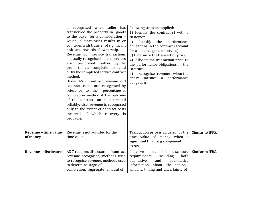|                                  | is recognised when seller has<br>transferred the property in goods<br>to the buyer for a consideration -<br>which in most cases results in or<br>coincides with transfer of significant<br>risks and rewards of ownership.<br>Revenue from service transactions<br>is usually recognised as the services<br>performed either by the<br>are<br>proportionate completion method<br>or by the completed service contract<br>method.<br>Under AS 7, contract revenue and<br>contract costs are recognised by<br>reference to the<br>percentage of<br>completion method if the outcome<br>of the contract can be estimated<br>reliably; else, revenue is recognised<br>only to the extent of contract costs<br>incurred of which recovery is<br>probable. | following steps are applied:<br>1) Identify the contract(s) with a<br>customer.<br>2)<br>Identify the performance<br>obligations in the contract (account<br>for a 'distinct' good or service).<br>3) Determine the transaction price.<br>4) Allocate the transaction price to<br>the performance obligations in the<br>contract.<br>5) Recognise revenue when the<br>entity satisfies a performance<br>obligation. |                  |
|----------------------------------|------------------------------------------------------------------------------------------------------------------------------------------------------------------------------------------------------------------------------------------------------------------------------------------------------------------------------------------------------------------------------------------------------------------------------------------------------------------------------------------------------------------------------------------------------------------------------------------------------------------------------------------------------------------------------------------------------------------------------------------------------|---------------------------------------------------------------------------------------------------------------------------------------------------------------------------------------------------------------------------------------------------------------------------------------------------------------------------------------------------------------------------------------------------------------------|------------------|
| Revenue - time value<br>of money | Revenue is not adjusted for the<br>time value.                                                                                                                                                                                                                                                                                                                                                                                                                                                                                                                                                                                                                                                                                                       | Transaction price is adjusted for the<br>time value of money when a<br>significant financing component<br>exists.                                                                                                                                                                                                                                                                                                   | Similar to IFRS. |
| <b>Revenue - disclosure</b>      | AS 7 requires disclosure of contract<br>revenue recognised, methods used<br>to recognise revenue, methods used<br>to determine stage of<br>completion, aggregate amount of                                                                                                                                                                                                                                                                                                                                                                                                                                                                                                                                                                           | of<br>Cohesive<br>disclosure<br>set<br>both<br>requirements<br>including<br>qualitative<br>quantitative<br>and<br>information about the nature,<br>amount, timing and uncertainty of                                                                                                                                                                                                                                | Similar to IFRS. |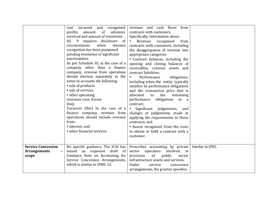|                                                           | and recognised<br>cost incurred<br>profits, amount<br>advances<br>of<br>received and amount of retentions.<br>9 requires disclosure of<br>AS<br>when<br>circumstances<br>revenue<br>recognition has been postponed<br>pending resolution of significant<br>uncertainties.<br>As per Schedule III, in the case of a<br>company other than a finance<br>company, revenue from operations<br>should disclose separately in the<br>notes to accounts the following:<br>• sale of products<br>• sale of services<br>• other operating<br>revenues Less: Excise<br>Duty<br>Turnover (Net) In the case of a<br>finance company, revenue from<br>operations should include revenue<br>from:<br>• interest; and<br>• other financial services | revenue and cash flows<br>from<br>contracts with customers.<br>Specifically, information about:<br>Revenue<br>recognised<br>from<br>$\bullet$<br>contracts with customers, including<br>the disaggregation of revenue into<br>appropriate categories<br>• Contract balances, including the<br>opening and closing balances of<br>receivables, contract assets and<br>contract liabilities;<br>Performance<br>$\bullet$<br>obligations,<br>including when the entity typically<br>satisfies its performance obligations<br>and the transaction price that is<br>allocated<br>to<br>the<br>remaining<br>performance<br>obligations<br>in a<br>contract;<br>Significant judgements,<br>$\bullet$<br>and<br>changes in judgements, made in<br>applying the requirements to those<br>contracts; and<br>• Assets recognised from the costs<br>to obtain or fulfil a contract with a<br>customer. |                  |
|-----------------------------------------------------------|--------------------------------------------------------------------------------------------------------------------------------------------------------------------------------------------------------------------------------------------------------------------------------------------------------------------------------------------------------------------------------------------------------------------------------------------------------------------------------------------------------------------------------------------------------------------------------------------------------------------------------------------------------------------------------------------------------------------------------------|--------------------------------------------------------------------------------------------------------------------------------------------------------------------------------------------------------------------------------------------------------------------------------------------------------------------------------------------------------------------------------------------------------------------------------------------------------------------------------------------------------------------------------------------------------------------------------------------------------------------------------------------------------------------------------------------------------------------------------------------------------------------------------------------------------------------------------------------------------------------------------------------|------------------|
| <b>Service Concession</b><br><b>Arrangements</b><br>scope | No specific guidance. The ICAI has<br>issued an exposure draft<br>of<br>Guidance Note on Accounting for<br>Service Concession Arrangements,<br>which is similar to IFRIC 12.                                                                                                                                                                                                                                                                                                                                                                                                                                                                                                                                                         | Prescribes accounting by private<br>sector<br>operators involved<br>in<br>provision<br>of<br>public<br>sector<br>infrastructure assets and services.<br>Under<br>service<br>concession<br>arrangements, the grantor specifies                                                                                                                                                                                                                                                                                                                                                                                                                                                                                                                                                                                                                                                              | Similar to IFRS. |